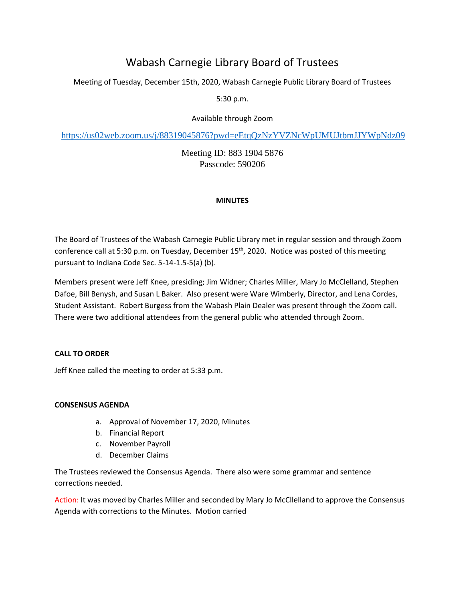# Wabash Carnegie Library Board of Trustees

Meeting of Tuesday, December 15th, 2020, Wabash Carnegie Public Library Board of Trustees

5:30 p.m.

Available through Zoom

<https://us02web.zoom.us/j/88319045876?pwd=eEtqQzNzYVZNcWpUMUJtbmJJYWpNdz09>

Meeting ID: 883 1904 5876 Passcode: 590206

# **MINUTES**

The Board of Trustees of the Wabash Carnegie Public Library met in regular session and through Zoom conference call at 5:30 p.m. on Tuesday, December 15<sup>th</sup>, 2020. Notice was posted of this meeting pursuant to Indiana Code Sec. 5-14-1.5-5(a) (b).

Members present were Jeff Knee, presiding; Jim Widner; Charles Miller, Mary Jo McClelland, Stephen Dafoe, Bill Benysh, and Susan L Baker. Also present were Ware Wimberly, Director, and Lena Cordes, Student Assistant. Robert Burgess from the Wabash Plain Dealer was present through the Zoom call. There were two additional attendees from the general public who attended through Zoom.

# **CALL TO ORDER**

Jeff Knee called the meeting to order at 5:33 p.m.

## **CONSENSUS AGENDA**

- a. Approval of November 17, 2020, Minutes
- b. Financial Report
- c. November Payroll
- d. December Claims

The Trustees reviewed the Consensus Agenda. There also were some grammar and sentence corrections needed.

Action: It was moved by Charles Miller and seconded by Mary Jo McCllelland to approve the Consensus Agenda with corrections to the Minutes. Motion carried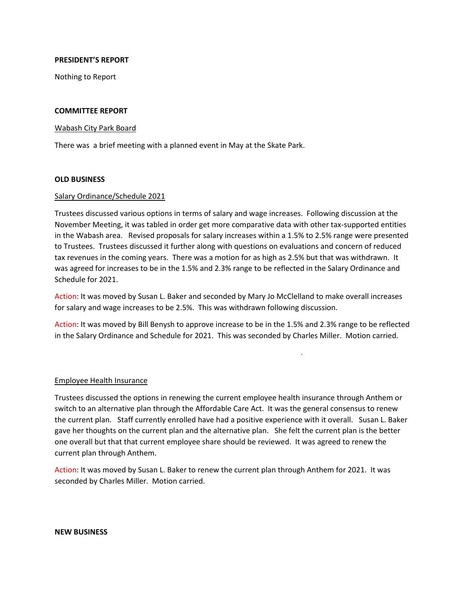## **PRESIDENT'S REPORT**

Nothing to Report

## **COMMITTEE REPORT**

## Wabash City Park Board

There was a brief meeting with a planned event in May at the Skate Park.

## **OLD BUSINESS**

## Salary Ordinance/Schedule 2021

Trustees discussed various options in terms of salary and wage increases. Following discussion at the November Meeting, it was tabled in order get more comparative data with other tax-supported entities in the Wabash area. Revised proposals for salary increases within a 1.5% to 2.5% range were presented to Trustees. Trustees discussed it further along with questions on evaluations and concern of reduced tax revenues in the coming years. There was a motion for as high as 2.5% but that was withdrawn. It was agreed for increases to be in the 1.5% and 2.3% range to be reflected in the Salary Ordinance and Schedule for 2021.

Action: It was moved by Susan L. Baker and seconded by Mary Jo McClelland to make overall increases for salary and wage increases to be 2.5%. This was withdrawn following discussion.

Action: It was moved by Bill Benysh to approve increase to be in the 1.5% and 2.3% range to be reflected in the Salary Ordinance and Schedule for 2021. This was seconded by Charles Miller. Motion carried.

.

## Employee Health Insurance

Trustees discussed the options in renewing the current employee health insurance through Anthem or switch to an alternative plan through the Affordable Care Act. It was the general consensus to renew the current plan. Staff currently enrolled have had a positive experience with it overall. Susan L. Baker gave her thoughts on the current plan and the alternative plan. She felt the current plan is the better one overall but that that current employee share should be reviewed. It was agreed to renew the current plan through Anthem.

Action: It was moved by Susan L. Baker to renew the current plan through Anthem for 2021. It was seconded by Charles Miller. Motion carried.

#### **NEW BUSINESS**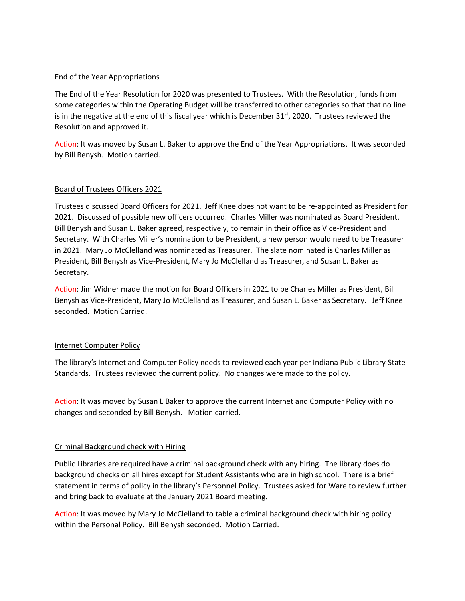## End of the Year Appropriations

The End of the Year Resolution for 2020 was presented to Trustees. With the Resolution, funds from some categories within the Operating Budget will be transferred to other categories so that that no line is in the negative at the end of this fiscal year which is December  $31<sup>st</sup>$ , 2020. Trustees reviewed the Resolution and approved it.

Action: It was moved by Susan L. Baker to approve the End of the Year Appropriations. It was seconded by Bill Benysh. Motion carried.

# Board of Trustees Officers 2021

Trustees discussed Board Officers for 2021. Jeff Knee does not want to be re-appointed as President for 2021. Discussed of possible new officers occurred. Charles Miller was nominated as Board President. Bill Benysh and Susan L. Baker agreed, respectively, to remain in their office as Vice-President and Secretary. With Charles Miller's nomination to be President, a new person would need to be Treasurer in 2021. Mary Jo McClelland was nominated as Treasurer. The slate nominated is Charles Miller as President, Bill Benysh as Vice-President, Mary Jo McClelland as Treasurer, and Susan L. Baker as Secretary.

Action: Jim Widner made the motion for Board Officers in 2021 to be Charles Miller as President, Bill Benysh as Vice-President, Mary Jo McClelland as Treasurer, and Susan L. Baker as Secretary. Jeff Knee seconded. Motion Carried.

## Internet Computer Policy

The library's Internet and Computer Policy needs to reviewed each year per Indiana Public Library State Standards. Trustees reviewed the current policy. No changes were made to the policy.

Action: It was moved by Susan L Baker to approve the current Internet and Computer Policy with no changes and seconded by Bill Benysh. Motion carried.

## Criminal Background check with Hiring

Public Libraries are required have a criminal background check with any hiring. The library does do background checks on all hires except for Student Assistants who are in high school. There is a brief statement in terms of policy in the library's Personnel Policy. Trustees asked for Ware to review further and bring back to evaluate at the January 2021 Board meeting.

Action: It was moved by Mary Jo McClelland to table a criminal background check with hiring policy within the Personal Policy. Bill Benysh seconded. Motion Carried.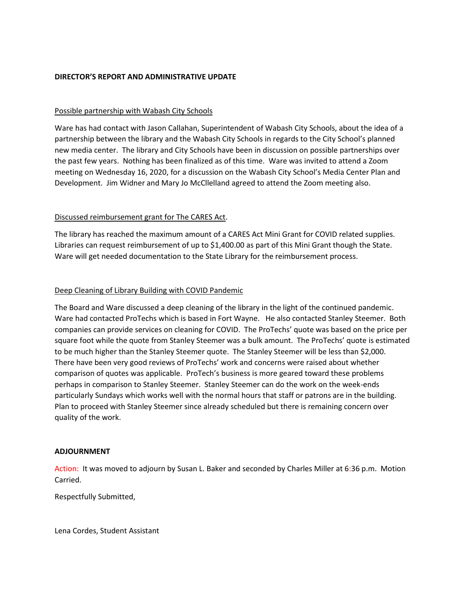## **DIRECTOR'S REPORT AND ADMINISTRATIVE UPDATE**

## Possible partnership with Wabash City Schools

Ware has had contact with Jason Callahan, Superintendent of Wabash City Schools, about the idea of a partnership between the library and the Wabash City Schools in regards to the City School's planned new media center. The library and City Schools have been in discussion on possible partnerships over the past few years. Nothing has been finalized as of this time. Ware was invited to attend a Zoom meeting on Wednesday 16, 2020, for a discussion on the Wabash City School's Media Center Plan and Development. Jim Widner and Mary Jo McCllelland agreed to attend the Zoom meeting also.

## Discussed reimbursement grant for The CARES Act.

The library has reached the maximum amount of a CARES Act Mini Grant for COVID related supplies. Libraries can request reimbursement of up to \$1,400.00 as part of this Mini Grant though the State. Ware will get needed documentation to the State Library for the reimbursement process.

## Deep Cleaning of Library Building with COVID Pandemic

The Board and Ware discussed a deep cleaning of the library in the light of the continued pandemic. Ware had contacted ProTechs which is based in Fort Wayne. He also contacted Stanley Steemer. Both companies can provide services on cleaning for COVID. The ProTechs' quote was based on the price per square foot while the quote from Stanley Steemer was a bulk amount. The ProTechs' quote is estimated to be much higher than the Stanley Steemer quote. The Stanley Steemer will be less than \$2,000. There have been very good reviews of ProTechs' work and concerns were raised about whether comparison of quotes was applicable. ProTech's business is more geared toward these problems perhaps in comparison to Stanley Steemer. Stanley Steemer can do the work on the week-ends particularly Sundays which works well with the normal hours that staff or patrons are in the building. Plan to proceed with Stanley Steemer since already scheduled but there is remaining concern over quality of the work.

## **ADJOURNMENT**

Action: It was moved to adjourn by Susan L. Baker and seconded by Charles Miller at 6:36 p.m. Motion Carried.

Respectfully Submitted,

Lena Cordes, Student Assistant